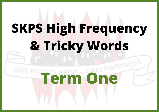# **SKPS High Frequency & Tricky Words**

### **TESS-CAIN HAPPINESS GIVE F**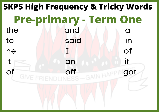## the and and a to said in he I I of  $it$  and  $i$  if Of GIVE FRIENDLINESS GAIN HAPPINGOT **SKPS High Frequency & Tricky Words Pre-primary - Term One**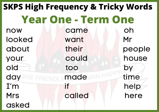now came oh looked want Mr about their people your could house old too by day WE FRIENDLIMAde AIN HALL time I'm if help Mrs Called here asked **SKPS High Frequency & Tricky Words Year One - Term One**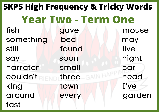### fish gave mouse something bed may still found live say soon night narrator small car couldn't the three call the head king town I've around every garden fast **SKPS High Frequency & Tricky Words Year Two - Term One**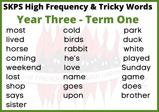### most cold park lived birds duck horse rabbit white coming he's played weekend love Sunday lost GIVE FRIENDLING MORE Game shop goes does says upon brother sister **SKPS High Frequency & Tricky Words Year Three - Term One**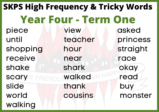piece view asked until teacher princess shopping hour straight receive near race shake shark okay scary **Examined** read slide thank buy world cousins monster walking **SKPS High Frequency & Tricky Words Year Four - Term One**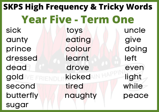sick toys uncle aunty eating give prince colour doing dressed learnt left dead drove even gold WE FRIENDLINKICKEd IN HALL Light second tired while butterfly naughty peace sugar **SKPS High Frequency & Tricky Words Year Five - Term One**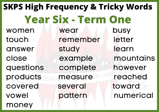women wear busy touch remember letter answer study learn close example mountains questions complete however products measure reached covered several toward vowel pattern numerical money **SKPS High Frequency & Tricky Words Year Six - Term One**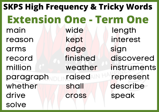main wide length reason kept interest arms edge sign record finished discovered million weather instruments paragraph raised represent whether shall describe drive cross speak solve **SKPS High Frequency & Tricky Words Extension One - Term One**